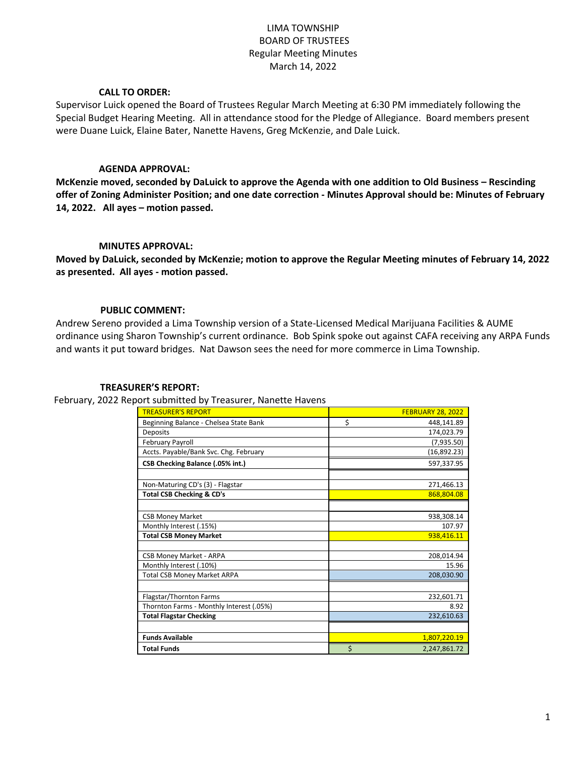# LIMA TOWNSHIP BOARD OF TRUSTEES Regular Meeting Minutes March 14, 2022

# **CALL TO ORDER:**

Supervisor Luick opened the Board of Trustees Regular March Meeting at 6:30 PM immediately following the Special Budget Hearing Meeting. All in attendance stood for the Pledge of Allegiance. Board members present were Duane Luick, Elaine Bater, Nanette Havens, Greg McKenzie, and Dale Luick.

## **AGENDA APPROVAL:**

**McKenzie moved, seconded by DaLuick to approve the Agenda with one addition to Old Business – Rescinding offer of Zoning Administer Position; and one date correction - Minutes Approval should be: Minutes of February 14, 2022. All ayes – motion passed.**

## **MINUTES APPROVAL:**

**Moved by DaLuick, seconded by McKenzie; motion to approve the Regular Meeting minutes of February 14, 2022 as presented. All ayes - motion passed.**

## **PUBLIC COMMENT:**

Andrew Sereno provided a Lima Township version of a State-Licensed Medical Marijuana Facilities & AUME ordinance using Sharon Township's current ordinance. Bob Spink spoke out against CAFA receiving any ARPA Funds and wants it put toward bridges. Nat Dawson sees the need for more commerce in Lima Township.

#### **TREASURER'S REPORT:**

February, 2022 Report submitted by Treasurer, Nanette Havens

| <b>TREASURER'S REPORT</b>                | <b>FEBRUARY 28, 2022</b> |
|------------------------------------------|--------------------------|
| Beginning Balance - Chelsea State Bank   | \$<br>448,141.89         |
|                                          |                          |
| <b>Deposits</b>                          | 174,023.79               |
| <b>February Payroll</b>                  | (7,935.50)               |
| Accts. Payable/Bank Svc. Chg. February   | (16,892.23)              |
| CSB Checking Balance (.05% int.)         | 597,337.95               |
|                                          |                          |
| Non-Maturing CD's (3) - Flagstar         | 271,466.13               |
| <b>Total CSB Checking &amp; CD's</b>     | 868.804.08               |
|                                          |                          |
| <b>CSB Money Market</b>                  | 938,308.14               |
| Monthly Interest (.15%)                  | 107.97                   |
| <b>Total CSB Money Market</b>            | 938,416.11               |
|                                          |                          |
| CSB Money Market - ARPA                  | 208,014.94               |
| Monthly Interest (.10%)                  | 15.96                    |
| <b>Total CSB Money Market ARPA</b>       | 208,030.90               |
|                                          |                          |
| Flagstar/Thornton Farms                  | 232,601.71               |
| Thornton Farms - Monthly Interest (.05%) | 8.92                     |
| <b>Total Flagstar Checking</b>           | 232,610.63               |
|                                          |                          |
| <b>Funds Available</b>                   | 1,807,220.19             |
| <b>Total Funds</b>                       | \$<br>2,247,861.72       |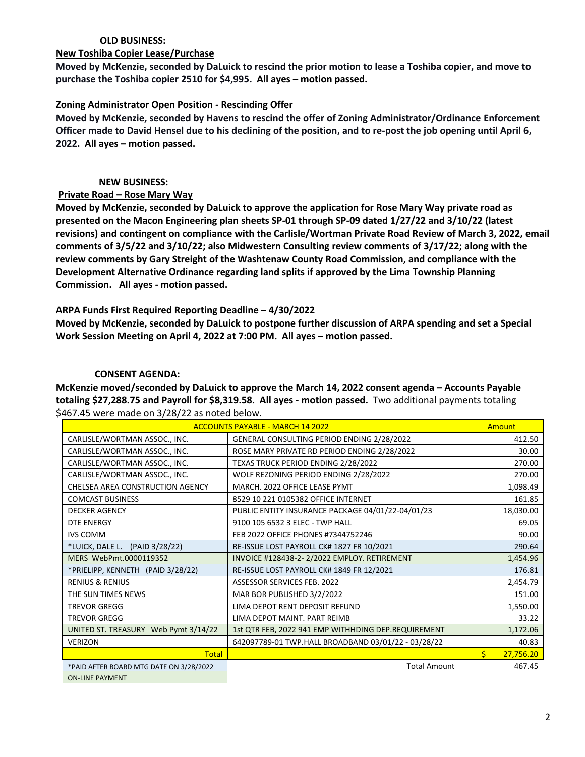# **OLD BUSINESS:**

#### **New Toshiba Copier Lease/Purchase**

**Moved by McKenzie, seconded by DaLuick to rescind the prior motion to lease a Toshiba copier, and move to purchase the Toshiba copier 2510 for \$4,995. All ayes – motion passed.**

# **Zoning Administrator Open Position - Rescinding Offer**

**Moved by McKenzie, seconded by Havens to rescind the offer of Zoning Administrator/Ordinance Enforcement Officer made to David Hensel due to his declining of the position, and to re-post the job opening until April 6, 2022. All ayes – motion passed.**

# **NEW BUSINESS:**

# **Private Road – Rose Mary Way**

**Moved by McKenzie, seconded by DaLuick to approve the application for Rose Mary Way private road as presented on the Macon Engineering plan sheets SP-01 through SP-09 dated 1/27/22 and 3/10/22 (latest revisions) and contingent on compliance with the Carlisle/Wortman Private Road Review of March 3, 2022, email comments of 3/5/22 and 3/10/22; also Midwestern Consulting review comments of 3/17/22; along with the review comments by Gary Streight of the Washtenaw County Road Commission, and compliance with the Development Alternative Ordinance regarding land splits if approved by the Lima Township Planning Commission. All ayes - motion passed.**

# **ARPA Funds First Required Reporting Deadline – 4/30/2022**

**Moved by McKenzie, seconded by DaLuick to postpone further discussion of ARPA spending and set a Special Work Session Meeting on April 4, 2022 at 7:00 PM. All ayes – motion passed.** 

# **CONSENT AGENDA:**

**McKenzie moved/seconded by DaLuick to approve the March 14, 2022 consent agenda – Accounts Payable totaling \$27,288.75 and Payroll for \$8,319.58. All ayes - motion passed.** Two additional payments totaling \$467.45 were made on 3/28/22 as noted below.

| <b>ACCOUNTS PAYABLE - MARCH 14 2022</b> |                                                     |    | <b>Amount</b> |
|-----------------------------------------|-----------------------------------------------------|----|---------------|
| CARLISLE/WORTMAN ASSOC., INC.           | GENERAL CONSULTING PERIOD ENDING 2/28/2022          |    | 412.50        |
| CARLISLE/WORTMAN ASSOC., INC.           | ROSE MARY PRIVATE RD PERIOD ENDING 2/28/2022        |    | 30.00         |
| CARLISLE/WORTMAN ASSOC., INC.           | TEXAS TRUCK PERIOD ENDING 2/28/2022                 |    | 270.00        |
| CARLISLE/WORTMAN ASSOC., INC.           | WOLF REZONING PERIOD ENDING 2/28/2022               |    | 270.00        |
| CHELSEA AREA CONSTRUCTION AGENCY        | MARCH. 2022 OFFICE LEASE PYMT                       |    | 1,098.49      |
| <b>COMCAST BUSINESS</b>                 | 8529 10 221 0105382 OFFICE INTERNET                 |    | 161.85        |
| <b>DECKER AGENCY</b>                    | PUBLIC ENTITY INSURANCE PACKAGE 04/01/22-04/01/23   |    | 18,030.00     |
| <b>DTE ENERGY</b>                       | 9100 105 6532 3 ELEC - TWP HALL                     |    | 69.05         |
| <b>IVS COMM</b>                         | FEB 2022 OFFICE PHONES #7344752246                  |    | 90.00         |
| *LUICK, DALE L.<br>(PAID 3/28/22)       | RE-ISSUE LOST PAYROLL CK# 1827 FR 10/2021           |    | 290.64        |
| MERS WebPmt.0000119352                  | INVOICE #128438-2-2/2022 EMPLOY. RETIREMENT         |    | 1,454.96      |
| *PRIELIPP, KENNETH (PAID 3/28/22)       | RE-ISSUE LOST PAYROLL CK# 1849 FR 12/2021           |    | 176.81        |
| <b>RENIUS &amp; RENIUS</b>              | <b>ASSESSOR SERVICES FEB. 2022</b>                  |    | 2,454.79      |
| THE SUN TIMES NEWS                      | MAR BOR PUBLISHED 3/2/2022                          |    | 151.00        |
| <b>TREVOR GREGG</b>                     | LIMA DEPOT RENT DEPOSIT REFUND                      |    | 1,550.00      |
| <b>TREVOR GREGG</b>                     | LIMA DEPOT MAINT. PART REIMB                        |    | 33.22         |
| UNITED ST. TREASURY Web Pymt 3/14/22    | 1st QTR FEB, 2022 941 EMP WITHHDING DEP.REQUIREMENT |    | 1,172.06      |
| <b>VERIZON</b>                          | 642097789-01 TWP.HALL BROADBAND 03/01/22 - 03/28/22 |    | 40.83         |
| <b>Total</b>                            |                                                     | Ś. | 27,756.20     |
| *PAID AFTER BOARD MTG DATE ON 3/28/2022 | <b>Total Amount</b>                                 |    | 467.45        |
| <b>ON-LINE PAYMENT</b>                  |                                                     |    |               |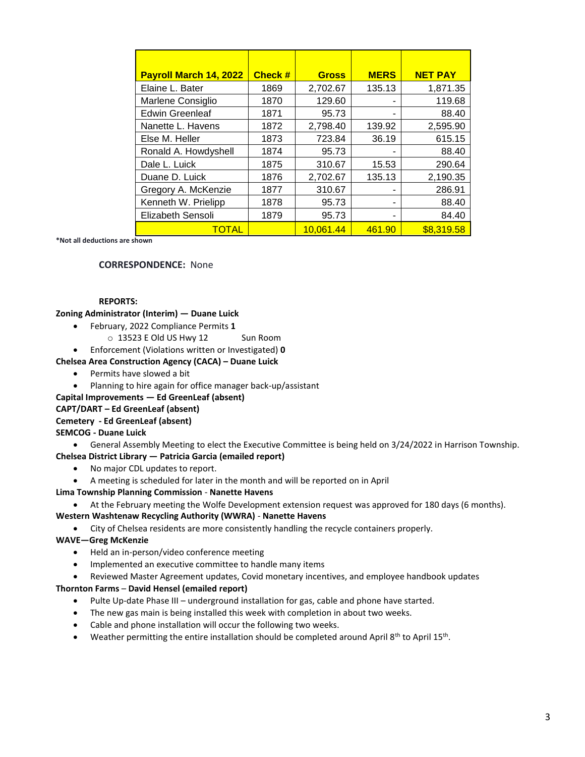| <b>Payroll March 14, 2022</b> | <b>Check #</b> | <b>Gross</b> | <b>MERS</b> | <b>NET PAY</b> |
|-------------------------------|----------------|--------------|-------------|----------------|
| Elaine L. Bater               | 1869           | 2,702.67     | 135.13      | 1,871.35       |
| Marlene Consiglio             | 1870           | 129.60       |             | 119.68         |
| <b>Edwin Greenleaf</b>        | 1871           | 95.73        |             | 88.40          |
| Nanette L. Havens             | 1872           | 2,798.40     | 139.92      | 2,595.90       |
| Else M. Heller                | 1873           | 723.84       | 36.19       | 615.15         |
| Ronald A. Howdyshell          | 1874           | 95.73        |             | 88.40          |
| Dale L. Luick                 | 1875           | 310.67       | 15.53       | 290.64         |
| Duane D. Luick                | 1876           | 2,702.67     | 135.13      | 2,190.35       |
| Gregory A. McKenzie           | 1877           | 310.67       |             | 286.91         |
| Kenneth W. Prielipp           | 1878           | 95.73        | ۰           | 88.40          |
| Elizabeth Sensoli             | 1879           | 95.73        |             | 84.40          |
| <b>TOTAL</b>                  |                | 10,061.44    | 461.90      | \$8,319.58     |

**\*Not all deductions are shown**

#### **CORRESPONDENCE:** None

#### **REPORTS:**

**Zoning Administrator (Interim) — Duane Luick**

- February, 2022 Compliance Permits **1**
	- o 13523 E Old US Hwy 12 Sun Room
- Enforcement (Violations written or Investigated) **0**

#### **Chelsea Area Construction Agency (CACA) – Duane Luick**

- Permits have slowed a bit
- Planning to hire again for office manager back-up/assistant

#### **Capital Improvements — Ed GreenLeaf (absent)**

# **CAPT/DART – Ed GreenLeaf (absent)**

#### **Cemetery - Ed GreenLeaf (absent)**

#### **SEMCOG - Duane Luick**

General Assembly Meeting to elect the Executive Committee is being held on 3/24/2022 in Harrison Township.

#### **Chelsea District Library — Patricia Garcia (emailed report)**

- No major CDL updates to report.
- A meeting is scheduled for later in the month and will be reported on in April

#### **Lima Township Planning Commission** - **Nanette Havens**

At the February meeting the Wolfe Development extension request was approved for 180 days (6 months).

#### **Western Washtenaw Recycling Authority (WWRA)** - **Nanette Havens**

City of Chelsea residents are more consistently handling the recycle containers properly.

#### **WAVE—Greg McKenzie**

- Held an in-person/video conference meeting
- Implemented an executive committee to handle many items
- Reviewed Master Agreement updates, Covid monetary incentives, and employee handbook updates

#### **Thornton Farms** – **David Hensel (emailed report)**

- Pulte Up-date Phase III underground installation for gas, cable and phone have started.
- The new gas main is being installed this week with completion in about two weeks.
- Cable and phone installation will occur the following two weeks.
- Weather permitting the entire installation should be completed around April 8<sup>th</sup> to April 15<sup>th</sup>.